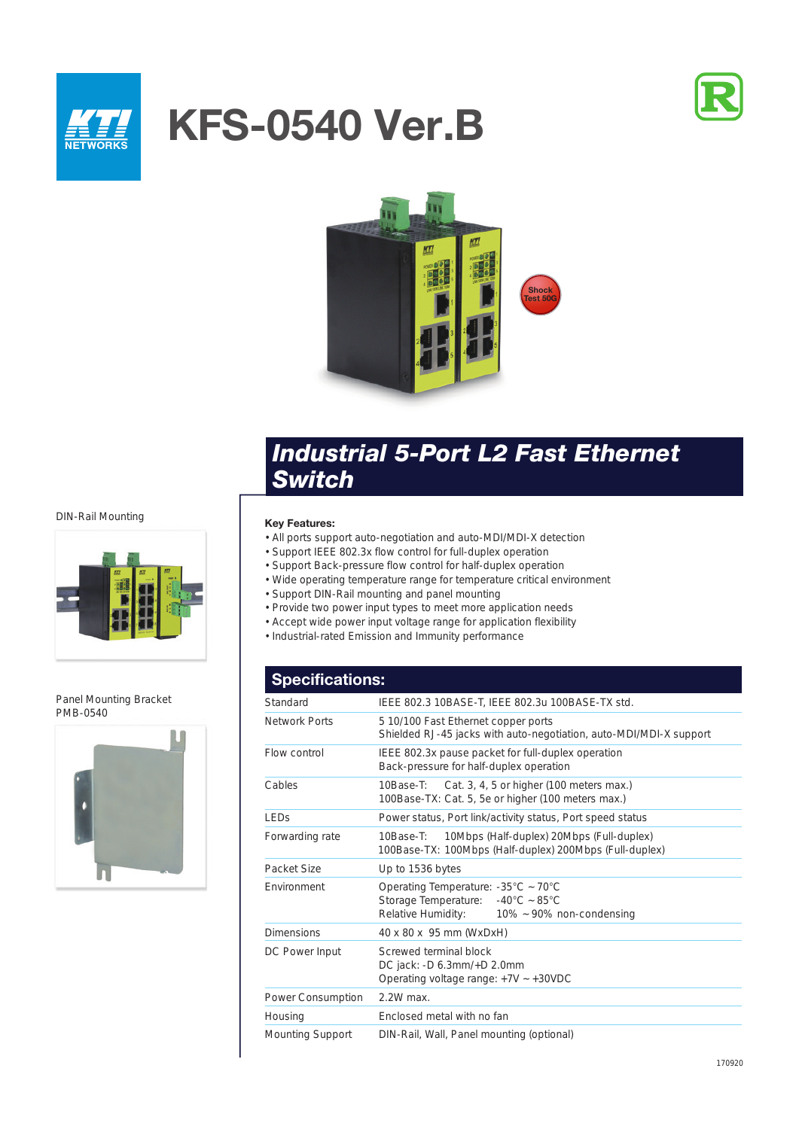

# **KFS-0540 Ver.B**





## *Industrial 5-Port L2 Fast Ethernet Switch*

#### DIN-Rail Mounting



Panel Mounting Bracket PMB-0540



### **Key Features:**

- All ports support auto-negotiation and auto-MDI/MDI-X detection
- Support IEEE 802.3x flow control for full-duplex operation
- Support Back-pressure flow control for half-duplex operation
- Wide operating temperature range for temperature critical environment
- Support DIN-Rail mounting and panel mounting
- Provide two power input types to meet more application needs
- Accept wide power input voltage range for application flexibility
- Industrial-rated Emission and Immunity performance

## **Specifications:**

| Standard             | IEEE 802.3 10BASE-T, IEEE 802.3u 100BASE-TX std.                                                                                                                        |
|----------------------|-------------------------------------------------------------------------------------------------------------------------------------------------------------------------|
| <b>Network Ports</b> | 5 10/100 Fast Ethernet copper ports<br>Shielded RJ-45 jacks with auto-negotiation, auto-MDI/MDI-X support                                                               |
| Flow control         | IEEE 802.3x pause packet for full-duplex operation<br>Back-pressure for half-duplex operation                                                                           |
| Cables               | Cat. 3, 4, 5 or higher (100 meters max.)<br>10Base-T:<br>100Base-TX: Cat. 5, 5e or higher (100 meters max.)                                                             |
| LEDS                 | Power status, Port link/activity status, Port speed status                                                                                                              |
| Forwarding rate      | 10Mbps (Half-duplex) 20Mbps (Full-duplex)<br>10Base-T:<br>100Base-TX: 100Mbps (Half-duplex) 200Mbps (Full-duplex)                                                       |
| Packet Size          | Up to 1536 bytes                                                                                                                                                        |
| Environment          | Operating Temperature: $-35^{\circ}$ C ~ 70 $^{\circ}$ C<br>Storage Temperature: $-40^{\circ}$ C ~ 85 $^{\circ}$ C<br>Relative Humidity:<br>$10\%$ ~ 90% non-condensing |
| <b>Dimensions</b>    | 40 x 80 x 95 mm (WxDxH)                                                                                                                                                 |
| DC Power Input       | Screwed terminal block<br>DC jack: -D 6.3mm/+D 2.0mm<br>Operating voltage range: $+7V \sim +30VDC$                                                                      |
| Power Consumption    | 2.2W max.                                                                                                                                                               |
| Housing              | Enclosed metal with no fan                                                                                                                                              |
| Mounting Support     | DIN-Rail, Wall, Panel mounting (optional)                                                                                                                               |